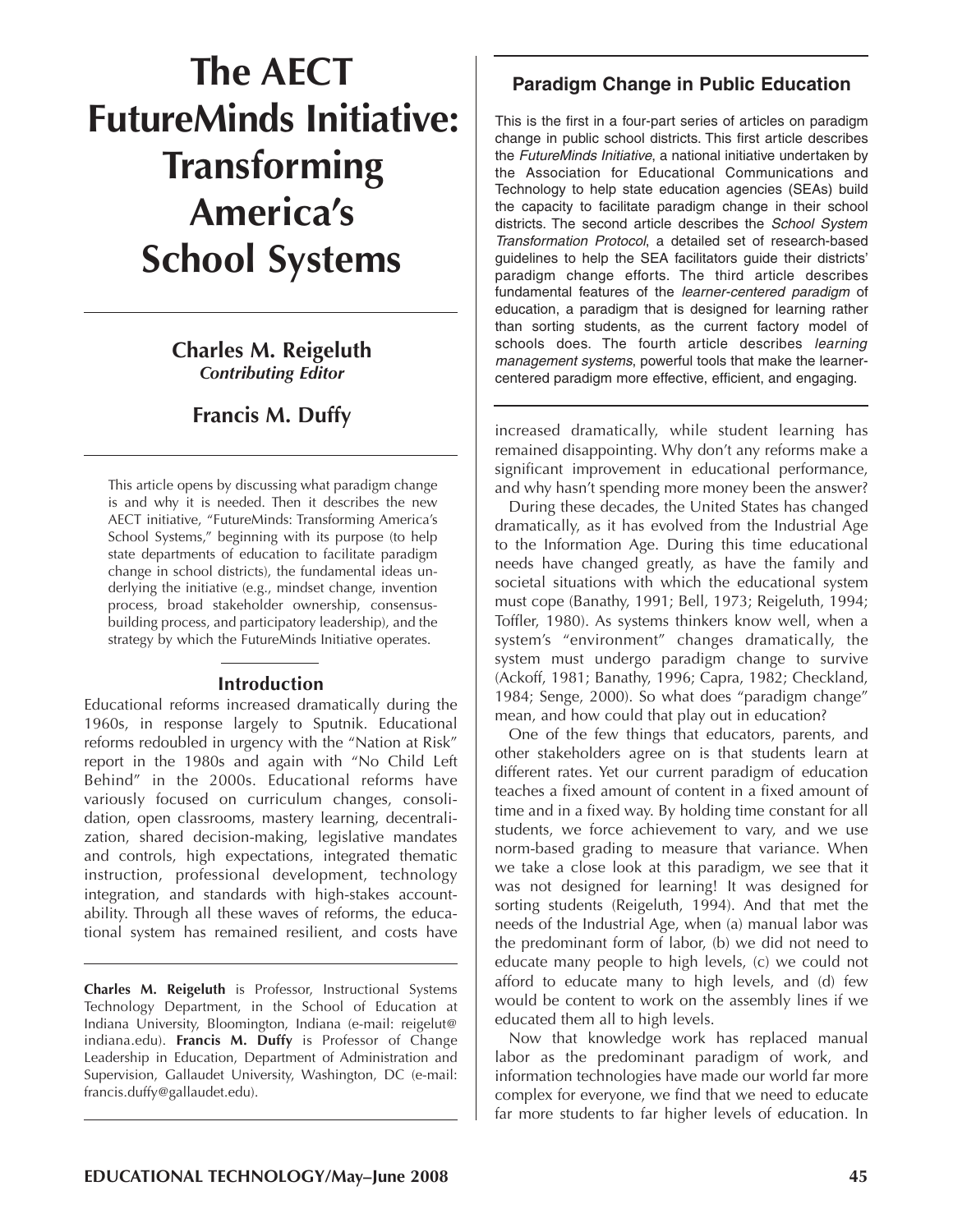# **The AECT FutureMinds Initiative: Transforming America's School Systems**

## **Charles M. Reigeluth** *Contributing Editor*

## **Francis M. Duffy**

This article opens by discussing what paradigm change is and why it is needed. Then it describes the new AECT initiative, "FutureMinds: Transforming America's School Systems," beginning with its purpose (to help state departments of education to facilitate paradigm change in school districts), the fundamental ideas underlying the initiative (e.g., mindset change, invention process, broad stakeholder ownership, consensusbuilding process, and participatory leadership), and the strategy by which the FutureMinds Initiative operates.

#### **Introduction**

Educational reforms increased dramatically during the 1960s, in response largely to Sputnik. Educational reforms redoubled in urgency with the "Nation at Risk" report in the 1980s and again with "No Child Left Behind" in the 2000s. Educational reforms have variously focused on curriculum changes, consolidation, open classrooms, mastery learning, decentralization, shared decision-making, legislative mandates and controls, high expectations, integrated thematic instruction, professional development, technology integration, and standards with high-stakes accountability. Through all these waves of reforms, the educational system has remained resilient, and costs have

**Charles M. Reigeluth** is Professor, Instructional Systems Technology Department, in the School of Education at Indiana University, Bloomington, Indiana (e-mail: reigelut@ indiana.edu). **Francis M. Duffy** is Professor of Change Leadership in Education, Department of Administration and Supervision, Gallaudet University, Washington, DC (e-mail: francis.duffy@gallaudet.edu).

## **Paradigm Change in Public Education**

This is the first in a four-part series of articles on paradigm change in public school districts. This first article describes the *FutureMinds Initiative*, a national initiative undertaken by the Association for Educational Communications and Technology to help state education agencies (SEAs) build the capacity to facilitate paradigm change in their school districts. The second article describes the *School System Transformation Protocol*, a detailed set of research-based guidelines to help the SEA facilitators guide their districts' paradigm change efforts. The third article describes fundamental features of the *learner-centered paradigm* of education, a paradigm that is designed for learning rather than sorting students, as the current factory model of schools does. The fourth article describes *learning management systems*, powerful tools that make the learnercentered paradigm more effective, efficient, and engaging.

increased dramatically, while student learning has remained disappointing. Why don't any reforms make a significant improvement in educational performance, and why hasn't spending more money been the answer?

During these decades, the United States has changed dramatically, as it has evolved from the Industrial Age to the Information Age. During this time educational needs have changed greatly, as have the family and societal situations with which the educational system must cope (Banathy, 1991; Bell, 1973; Reigeluth, 1994; Toffler, 1980). As systems thinkers know well, when a system's "environment" changes dramatically, the system must undergo paradigm change to survive (Ackoff, 1981; Banathy, 1996; Capra, 1982; Checkland, 1984; Senge, 2000). So what does "paradigm change" mean, and how could that play out in education?

One of the few things that educators, parents, and other stakeholders agree on is that students learn at different rates. Yet our current paradigm of education teaches a fixed amount of content in a fixed amount of time and in a fixed way. By holding time constant for all students, we force achievement to vary, and we use norm-based grading to measure that variance. When we take a close look at this paradigm, we see that it was not designed for learning! It was designed for sorting students (Reigeluth, 1994). And that met the needs of the Industrial Age, when (a) manual labor was the predominant form of labor, (b) we did not need to educate many people to high levels, (c) we could not afford to educate many to high levels, and (d) few would be content to work on the assembly lines if we educated them all to high levels.

Now that knowledge work has replaced manual labor as the predominant paradigm of work, and information technologies have made our world far more complex for everyone, we find that we need to educate far more students to far higher levels of education. In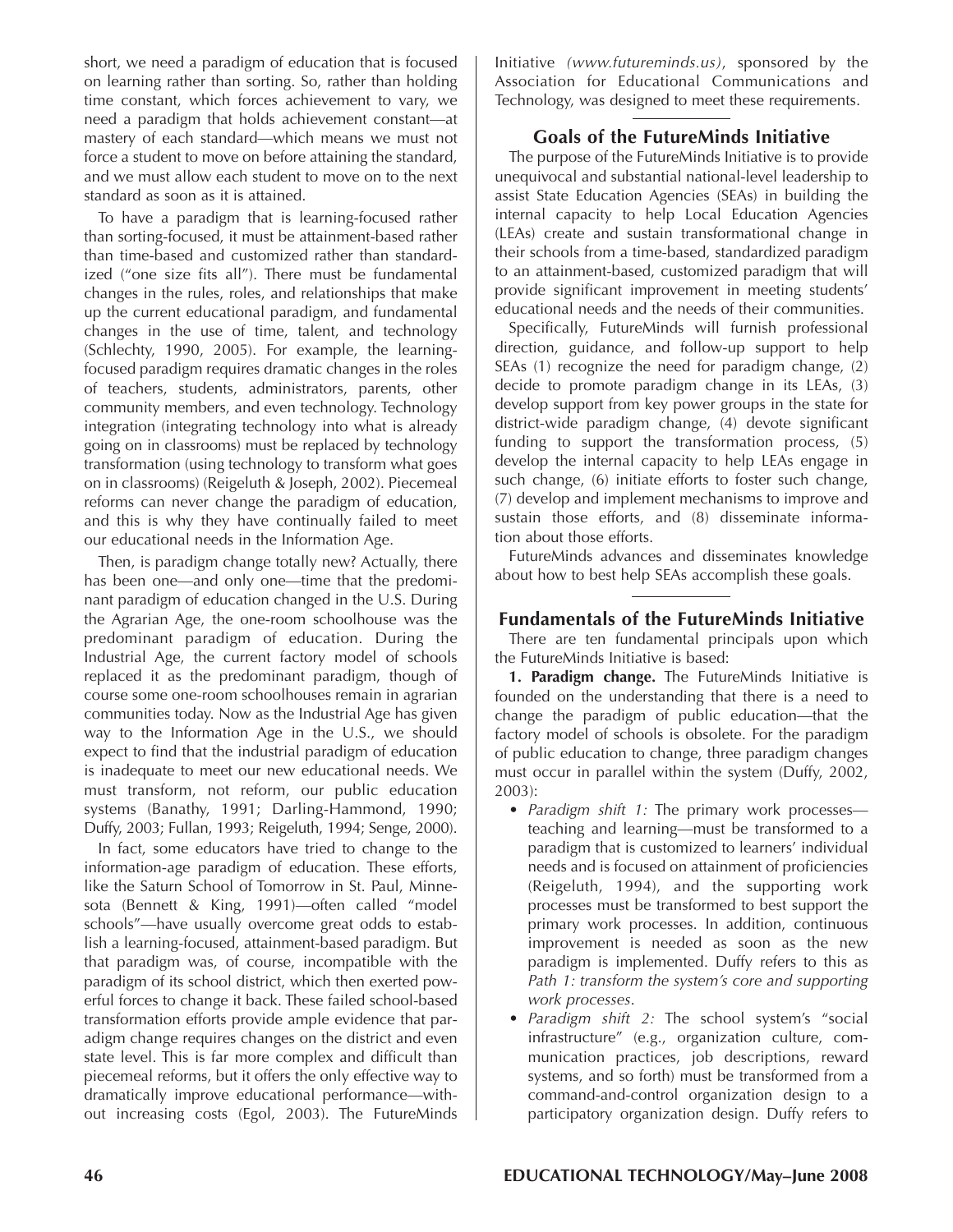short, we need a paradigm of education that is focused on learning rather than sorting. So, rather than holding time constant, which forces achievement to vary, we need a paradigm that holds achievement constant—at mastery of each standard—which means we must not force a student to move on before attaining the standard, and we must allow each student to move on to the next standard as soon as it is attained.

To have a paradigm that is learning-focused rather than sorting-focused, it must be attainment-based rather than time-based and customized rather than standardized ("one size fits all"). There must be fundamental changes in the rules, roles, and relationships that make up the current educational paradigm, and fundamental changes in the use of time, talent, and technology (Schlechty, 1990, 2005). For example, the learningfocused paradigm requires dramatic changes in the roles of teachers, students, administrators, parents, other community members, and even technology. Technology integration (integrating technology into what is already going on in classrooms) must be replaced by technology transformation (using technology to transform what goes on in classrooms) (Reigeluth & Joseph, 2002). Piecemeal reforms can never change the paradigm of education, and this is why they have continually failed to meet our educational needs in the Information Age.

Then, is paradigm change totally new? Actually, there has been one—and only one—time that the predominant paradigm of education changed in the U.S. During the Agrarian Age, the one-room schoolhouse was the predominant paradigm of education. During the Industrial Age, the current factory model of schools replaced it as the predominant paradigm, though of course some one-room schoolhouses remain in agrarian communities today. Now as the Industrial Age has given way to the Information Age in the U.S., we should expect to find that the industrial paradigm of education is inadequate to meet our new educational needs. We must transform, not reform, our public education systems (Banathy, 1991; Darling-Hammond, 1990; Duffy, 2003; Fullan, 1993; Reigeluth, 1994; Senge, 2000).

In fact, some educators have tried to change to the information-age paradigm of education. These efforts, like the Saturn School of Tomorrow in St. Paul, Minnesota (Bennett & King, 1991)—often called "model schools"—have usually overcome great odds to establish a learning-focused, attainment-based paradigm. But that paradigm was, of course, incompatible with the paradigm of its school district, which then exerted powerful forces to change it back. These failed school-based transformation efforts provide ample evidence that paradigm change requires changes on the district and even state level. This is far more complex and difficult than piecemeal reforms, but it offers the only effective way to dramatically improve educational performance—without increasing costs (Egol, 2003). The FutureMinds Initiative *(www.futureminds.us)*, sponsored by the Association for Educational Communications and Technology, was designed to meet these requirements.

### **Goals of the FutureMinds Initiative**

The purpose of the FutureMinds Initiative is to provide unequivocal and substantial national-level leadership to assist State Education Agencies (SEAs) in building the internal capacity to help Local Education Agencies (LEAs) create and sustain transformational change in their schools from a time-based, standardized paradigm to an attainment-based, customized paradigm that will provide significant improvement in meeting students' educational needs and the needs of their communities.

Specifically, FutureMinds will furnish professional direction, guidance, and follow-up support to help SEAs (1) recognize the need for paradigm change, (2) decide to promote paradigm change in its LEAs, (3) develop support from key power groups in the state for district-wide paradigm change, (4) devote significant funding to support the transformation process, (5) develop the internal capacity to help LEAs engage in such change, (6) initiate efforts to foster such change, (7) develop and implement mechanisms to improve and sustain those efforts, and (8) disseminate information about those efforts.

FutureMinds advances and disseminates knowledge about how to best help SEAs accomplish these goals.

#### **Fundamentals of the FutureMinds Initiative**

There are ten fundamental principals upon which the FutureMinds Initiative is based:

**1. Paradigm change.** The FutureMinds Initiative is founded on the understanding that there is a need to change the paradigm of public education—that the factory model of schools is obsolete. For the paradigm of public education to change, three paradigm changes must occur in parallel within the system (Duffy, 2002, 2003):

- *Paradigm shift 1:* The primary work processes teaching and learning—must be transformed to a paradigm that is customized to learners' individual needs and is focused on attainment of proficiencies (Reigeluth, 1994), and the supporting work processes must be transformed to best support the primary work processes. In addition, continuous improvement is needed as soon as the new paradigm is implemented. Duffy refers to this as *Path 1: transform the system's core and supporting work processes*.
- *Paradigm shift 2:* The school system's "social infrastructure" (e.g., organization culture, communication practices, job descriptions, reward systems, and so forth) must be transformed from a command-and-control organization design to a participatory organization design. Duffy refers to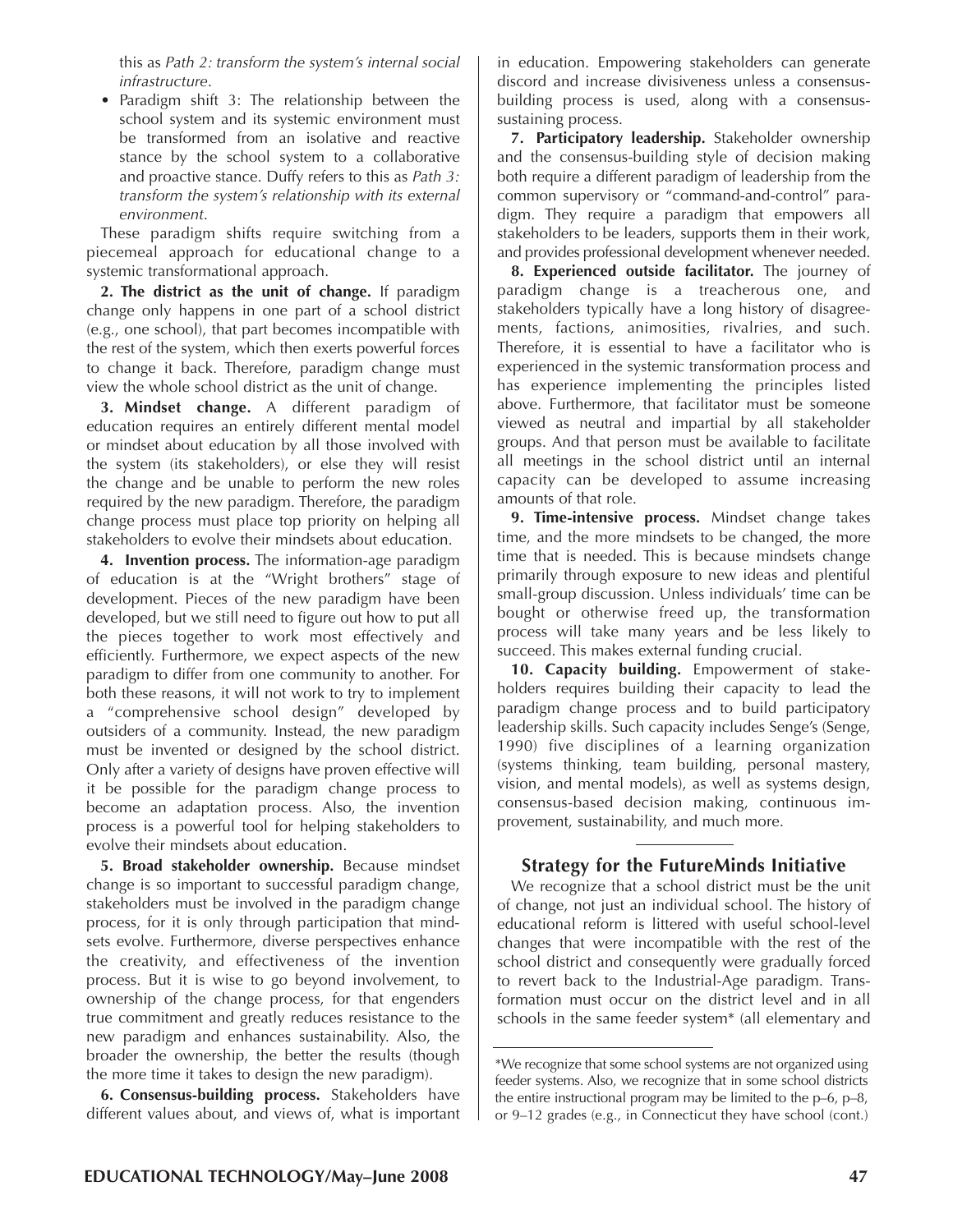this as *Path 2: transform the system's internal social infrastructure*.

• Paradigm shift 3: The relationship between the school system and its systemic environment must be transformed from an isolative and reactive stance by the school system to a collaborative and proactive stance. Duffy refers to this as *Path 3: transform the system's relationship with its external environment*.

These paradigm shifts require switching from a piecemeal approach for educational change to a systemic transformational approach.

**2. The district as the unit of change.** If paradigm change only happens in one part of a school district (e.g., one school), that part becomes incompatible with the rest of the system, which then exerts powerful forces to change it back. Therefore, paradigm change must view the whole school district as the unit of change.

**3. Mindset change.** A different paradigm of education requires an entirely different mental model or mindset about education by all those involved with the system (its stakeholders), or else they will resist the change and be unable to perform the new roles required by the new paradigm. Therefore, the paradigm change process must place top priority on helping all stakeholders to evolve their mindsets about education.

**4. Invention process.** The information-age paradigm of education is at the "Wright brothers" stage of development. Pieces of the new paradigm have been developed, but we still need to figure out how to put all the pieces together to work most effectively and efficiently. Furthermore, we expect aspects of the new paradigm to differ from one community to another. For both these reasons, it will not work to try to implement a "comprehensive school design" developed by outsiders of a community. Instead, the new paradigm must be invented or designed by the school district. Only after a variety of designs have proven effective will it be possible for the paradigm change process to become an adaptation process. Also, the invention process is a powerful tool for helping stakeholders to evolve their mindsets about education.

**5. Broad stakeholder ownership.** Because mindset change is so important to successful paradigm change, stakeholders must be involved in the paradigm change process, for it is only through participation that mindsets evolve. Furthermore, diverse perspectives enhance the creativity, and effectiveness of the invention process. But it is wise to go beyond involvement, to ownership of the change process, for that engenders true commitment and greatly reduces resistance to the new paradigm and enhances sustainability. Also, the broader the ownership, the better the results (though the more time it takes to design the new paradigm).

**6. Consensus-building process.** Stakeholders have different values about, and views of, what is important in education. Empowering stakeholders can generate discord and increase divisiveness unless a consensusbuilding process is used, along with a consensussustaining process.

**7. Participatory leadership.** Stakeholder ownership and the consensus-building style of decision making both require a different paradigm of leadership from the common supervisory or "command-and-control" paradigm. They require a paradigm that empowers all stakeholders to be leaders, supports them in their work, and provides professional development whenever needed.

**8. Experienced outside facilitator.** The journey of paradigm change is a treacherous one, and stakeholders typically have a long history of disagreements, factions, animosities, rivalries, and such. Therefore, it is essential to have a facilitator who is experienced in the systemic transformation process and has experience implementing the principles listed above. Furthermore, that facilitator must be someone viewed as neutral and impartial by all stakeholder groups. And that person must be available to facilitate all meetings in the school district until an internal capacity can be developed to assume increasing amounts of that role.

**9. Time-intensive process.** Mindset change takes time, and the more mindsets to be changed, the more time that is needed. This is because mindsets change primarily through exposure to new ideas and plentiful small-group discussion. Unless individuals' time can be bought or otherwise freed up, the transformation process will take many years and be less likely to succeed. This makes external funding crucial.

**10. Capacity building.** Empowerment of stakeholders requires building their capacity to lead the paradigm change process and to build participatory leadership skills. Such capacity includes Senge's (Senge, 1990) five disciplines of a learning organization (systems thinking, team building, personal mastery, vision, and mental models), as well as systems design, consensus-based decision making, continuous improvement, sustainability, and much more.

#### **Strategy for the FutureMinds Initiative**

We recognize that a school district must be the unit of change, not just an individual school. The history of educational reform is littered with useful school-level changes that were incompatible with the rest of the school district and consequently were gradually forced to revert back to the Industrial-Age paradigm. Transformation must occur on the district level and in all schools in the same feeder system\* (all elementary and

<sup>\*</sup>We recognize that some school systems are not organized using feeder systems. Also, we recognize that in some school districts the entire instructional program may be limited to the p–6, p–8, or 9–12 grades (e.g., in Connecticut they have school (cont.)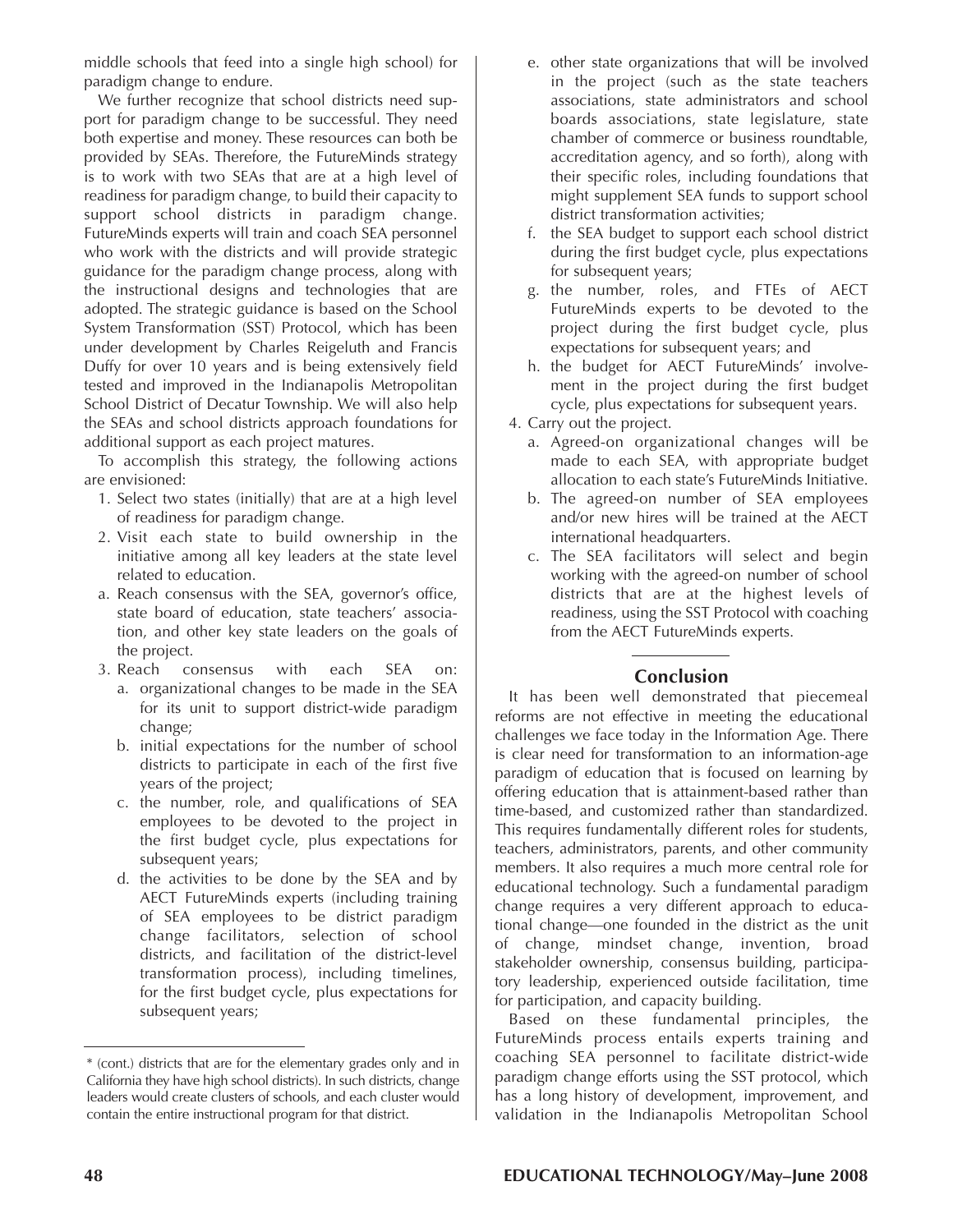middle schools that feed into a single high school) for paradigm change to endure.

We further recognize that school districts need support for paradigm change to be successful. They need both expertise and money. These resources can both be provided by SEAs. Therefore, the FutureMinds strategy is to work with two SEAs that are at a high level of readiness for paradigm change, to build their capacity to support school districts in paradigm change. FutureMinds experts will train and coach SEA personnel who work with the districts and will provide strategic guidance for the paradigm change process, along with the instructional designs and technologies that are adopted. The strategic guidance is based on the School System Transformation (SST) Protocol, which has been under development by Charles Reigeluth and Francis Duffy for over 10 years and is being extensively field tested and improved in the Indianapolis Metropolitan School District of Decatur Township. We will also help the SEAs and school districts approach foundations for additional support as each project matures.

To accomplish this strategy, the following actions are envisioned:

- 1. Select two states (initially) that are at a high level of readiness for paradigm change.
- 2. Visit each state to build ownership in the initiative among all key leaders at the state level related to education.
- a. Reach consensus with the SEA, governor's office, state board of education, state teachers' association, and other key state leaders on the goals of the project.
- 3. Reach consensus with each SEA on: a. organizational changes to be made in the SEA for its unit to support district-wide paradigm change;
	- b. initial expectations for the number of school districts to participate in each of the first five years of the project;
	- c. the number, role, and qualifications of SEA employees to be devoted to the project in the first budget cycle, plus expectations for subsequent years;
	- d. the activities to be done by the SEA and by AECT FutureMinds experts (including training of SEA employees to be district paradigm change facilitators, selection of school districts, and facilitation of the district-level transformation process), including timelines, for the first budget cycle, plus expectations for subsequent years;
- e. other state organizations that will be involved in the project (such as the state teachers associations, state administrators and school boards associations, state legislature, state chamber of commerce or business roundtable, accreditation agency, and so forth), along with their specific roles, including foundations that might supplement SEA funds to support school district transformation activities;
- f. the SEA budget to support each school district during the first budget cycle, plus expectations for subsequent years;
- g. the number, roles, and FTEs of AECT FutureMinds experts to be devoted to the project during the first budget cycle, plus expectations for subsequent years; and
- h. the budget for AECT FutureMinds' involvement in the project during the first budget cycle, plus expectations for subsequent years.
- 4. Carry out the project.
	- a. Agreed-on organizational changes will be made to each SEA, with appropriate budget allocation to each state's FutureMinds Initiative.
	- b. The agreed-on number of SEA employees and/or new hires will be trained at the AECT international headquarters.
	- c. The SEA facilitators will select and begin working with the agreed-on number of school districts that are at the highest levels of readiness, using the SST Protocol with coaching from the AECT FutureMinds experts.

### **Conclusion**

It has been well demonstrated that piecemeal reforms are not effective in meeting the educational challenges we face today in the Information Age. There is clear need for transformation to an information-age paradigm of education that is focused on learning by offering education that is attainment-based rather than time-based, and customized rather than standardized. This requires fundamentally different roles for students, teachers, administrators, parents, and other community members. It also requires a much more central role for educational technology. Such a fundamental paradigm change requires a very different approach to educational change—one founded in the district as the unit of change, mindset change, invention, broad stakeholder ownership, consensus building, participatory leadership, experienced outside facilitation, time for participation, and capacity building.

Based on these fundamental principles, the FutureMinds process entails experts training and coaching SEA personnel to facilitate district-wide paradigm change efforts using the SST protocol, which has a long history of development, improvement, and validation in the Indianapolis Metropolitan School

<sup>\*</sup> (cont.) districts that are for the elementary grades only and in California they have high school districts). In such districts, change leaders would create clusters of schools, and each cluster would contain the entire instructional program for that district.